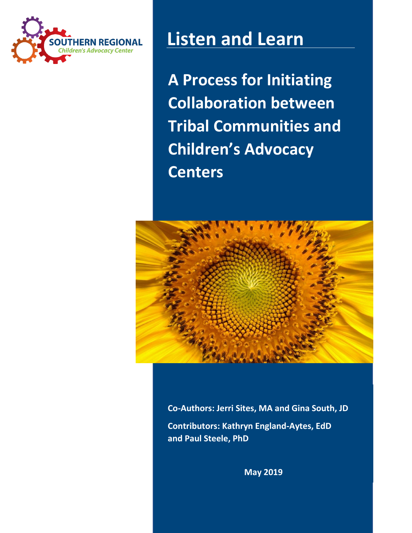

# **Listen and Learn**

**A Process for Initiating Collaboration between Tribal Communities and Children's Advocacy Centers**



**Co-Authors: Jerri Sites, MA and Gina South, JD Contributors: Kathryn England-Aytes, EdD and Paul Steele, PhD**

**May 2019**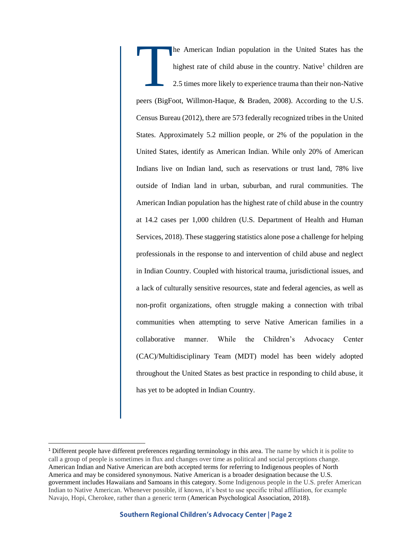he American Indian population in the United States has the highest rate of child abuse in the country. Native<sup>1</sup> children are 2.5 times more likely to experience trauma than their non-Native peers (BigFoot, Willmon-Haque, & Braden, 2008). According to the U.S. Census Bureau (2012), there are 573 federally recognized tribes in the United States. Approximately 5.2 million people, or 2% of the population in the United States, identify as American Indian. While only 20% of American Indians live on Indian land, such as reservations or trust land, 78% live outside of Indian land in urban, suburban, and rural communities. The American Indian population has the highest rate of child abuse in the country at 14.2 cases per 1,000 children (U.S. Department of Health and Human Services, 2018). These staggering statistics alone pose a challenge for helping professionals in the response to and intervention of child abuse and neglect in Indian Country. Coupled with historical trauma, jurisdictional issues, and a lack of culturally sensitive resources, state and federal agencies, as well as non-profit organizations, often struggle making a connection with tribal communities when attempting to serve Native American families in a collaborative manner. While the Children's Advocacy Center (CAC)/Multidisciplinary Team (MDT) model has been widely adopted throughout the United States as best practice in responding to child abuse, it has yet to be adopted in Indian Country. T

 $\overline{a}$ 

<sup>1</sup> Different people have different preferences regarding terminology in this area. The name by which it is polite to call a group of people is sometimes in flux and changes over time as political and social perceptions change. American Indian and Native American are both accepted terms for referring to Indigenous peoples of North America and may be considered synonymous. Native American is a broader designation because the U.S. government includes Hawaiians and Samoans in this category. Some Indigenous people in the U.S. prefer American Indian to Native American. Whenever possible, if known, it's best to use specific tribal affiliation, for example Navajo, Hopi, Cherokee, rather than a generic term (American Psychological Association, 2018).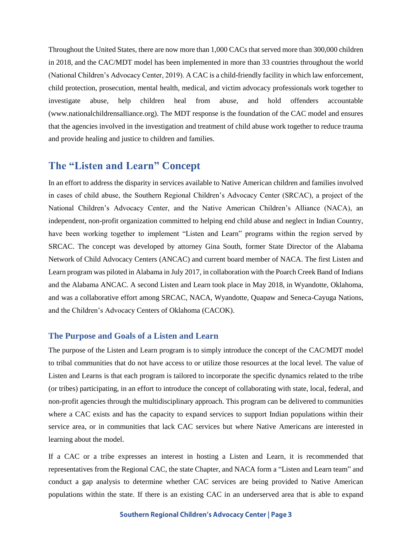Throughout the United States, there are now more than 1,000 CACs that served more than 300,000 children in 2018, and the CAC/MDT model has been implemented in more than 33 countries throughout the world (National Children's Advocacy Center, 2019). A CAC is a child-friendly facility in which law enforcement, child protection, prosecution, mental health, medical, and victim advocacy professionals work together to investigate abuse, help children heal from abuse, and hold offenders accountable (www.nationalchildrensalliance.org). The MDT response is the foundation of the CAC model and ensures that the agencies involved in the investigation and treatment of child abuse work together to reduce trauma and provide healing and justice to children and families.

# **The "Listen and Learn" Concept**

In an effort to address the disparity in services available to Native American children and families involved in cases of child abuse, the Southern Regional Children's Advocacy Center (SRCAC), a project of the National Children's Advocacy Center, and the Native American Children's Alliance (NACA), an independent, non-profit organization committed to helping end child abuse and neglect in Indian Country, have been working together to implement "Listen and Learn" programs within the region served by SRCAC. The concept was developed by attorney Gina South, former State Director of the Alabama Network of Child Advocacy Centers (ANCAC) and current board member of NACA. The first Listen and Learn program was piloted in Alabama in July 2017, in collaboration with the Poarch Creek Band of Indians and the Alabama ANCAC. A second Listen and Learn took place in May 2018, in Wyandotte, Oklahoma, and was a collaborative effort among SRCAC, NACA, Wyandotte, Quapaw and Seneca-Cayuga Nations, and the Children's Advocacy Centers of Oklahoma (CACOK).

#### **The Purpose and Goals of a Listen and Learn**

The purpose of the Listen and Learn program is to simply introduce the concept of the CAC/MDT model to tribal communities that do not have access to or utilize those resources at the local level. The value of Listen and Learns is that each program is tailored to incorporate the specific dynamics related to the tribe (or tribes) participating, in an effort to introduce the concept of collaborating with state, local, federal, and non-profit agencies through the multidisciplinary approach. This program can be delivered to communities where a CAC exists and has the capacity to expand services to support Indian populations within their service area, or in communities that lack CAC services but where Native Americans are interested in learning about the model.

If a CAC or a tribe expresses an interest in hosting a Listen and Learn, it is recommended that representatives from the Regional CAC, the state Chapter, and NACA form a "Listen and Learn team" and conduct a gap analysis to determine whether CAC services are being provided to Native American populations within the state. If there is an existing CAC in an underserved area that is able to expand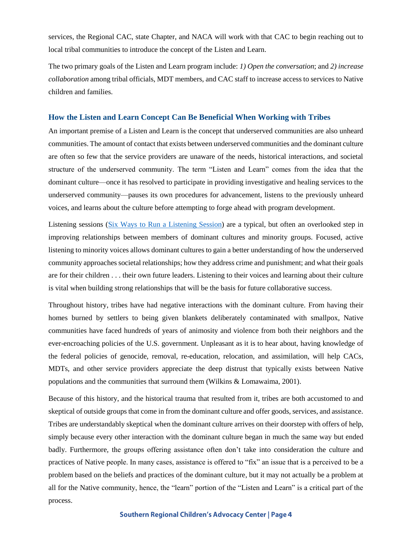services, the Regional CAC, state Chapter, and NACA will work with that CAC to begin reaching out to local tribal communities to introduce the concept of the Listen and Learn.

The two primary goals of the Listen and Learn program include: *1) Open the conversation*; and *2) increase collaboration* among tribal officials, MDT members, and CAC staff to increase access to services to Native children and families.

#### **How the Listen and Learn Concept Can Be Beneficial When Working with Tribes**

An important premise of a Listen and Learn is the concept that underserved communities are also unheard communities. The amount of contact that exists between underserved communities and the dominant culture are often so few that the service providers are unaware of the needs, historical interactions, and societal structure of the underserved community. The term "Listen and Learn" comes from the idea that the dominant culture—once it has resolved to participate in providing investigative and healing services to the underserved community—pauses its own procedures for advancement, listens to the previously unheard voices, and learns about the culture before attempting to forge ahead with program development.

Listening sessions [\(Six Ways to Run a Listening Session\)](https://training.npr.org/audio/six-ways-to-run-a-listening-session/) are a typical, but often an overlooked step in improving relationships between members of dominant cultures and minority groups. Focused, active listening to minority voices allows dominant cultures to gain a better understanding of how the underserved community approaches societal relationships; how they address crime and punishment; and what their goals are for their children . . . their own future leaders. Listening to their voices and learning about their culture is vital when building strong relationships that will be the basis for future collaborative success.

Throughout history, tribes have had negative interactions with the dominant culture. From having their homes burned by settlers to being given blankets deliberately contaminated with smallpox, Native communities have faced hundreds of years of animosity and violence from both their neighbors and the ever-encroaching policies of the U.S. government. Unpleasant as it is to hear about, having knowledge of the federal policies of genocide, removal, re-education, relocation, and assimilation, will help CACs, MDTs, and other service providers appreciate the deep distrust that typically exists between Native populations and the communities that surround them (Wilkins & Lomawaima, 2001).

Because of this history, and the historical trauma that resulted from it, tribes are both accustomed to and skeptical of outside groups that come in from the dominant culture and offer goods, services, and assistance. Tribes are understandably skeptical when the dominant culture arrives on their doorstep with offers of help, simply because every other interaction with the dominant culture began in much the same way but ended badly. Furthermore, the groups offering assistance often don't take into consideration the culture and practices of Native people. In many cases, assistance is offered to "fix" an issue that is a perceived to be a problem based on the beliefs and practices of the dominant culture, but it may not actually be a problem at all for the Native community, hence, the "learn" portion of the "Listen and Learn" is a critical part of the process.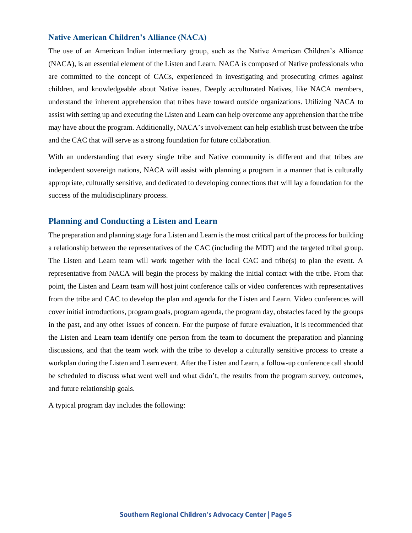#### **Native American Children's Alliance (NACA)**

The use of an American Indian intermediary group, such as the Native American Children's Alliance (NACA), is an essential element of the Listen and Learn. NACA is composed of Native professionals who are committed to the concept of CACs, experienced in investigating and prosecuting crimes against children, and knowledgeable about Native issues. Deeply acculturated Natives, like NACA members, understand the inherent apprehension that tribes have toward outside organizations. Utilizing NACA to assist with setting up and executing the Listen and Learn can help overcome any apprehension that the tribe may have about the program. Additionally, NACA's involvement can help establish trust between the tribe and the CAC that will serve as a strong foundation for future collaboration.

With an understanding that every single tribe and Native community is different and that tribes are independent sovereign nations, NACA will assist with planning a program in a manner that is culturally appropriate, culturally sensitive, and dedicated to developing connections that will lay a foundation for the success of the multidisciplinary process.

#### **Planning and Conducting a Listen and Learn**

The preparation and planning stage for a Listen and Learn is the most critical part of the process for building a relationship between the representatives of the CAC (including the MDT) and the targeted tribal group. The Listen and Learn team will work together with the local CAC and tribe(s) to plan the event. A representative from NACA will begin the process by making the initial contact with the tribe. From that point, the Listen and Learn team will host joint conference calls or video conferences with representatives from the tribe and CAC to develop the plan and agenda for the Listen and Learn. Video conferences will cover initial introductions, program goals, program agenda, the program day, obstacles faced by the groups in the past, and any other issues of concern. For the purpose of future evaluation, it is recommended that the Listen and Learn team identify one person from the team to document the preparation and planning discussions, and that the team work with the tribe to develop a culturally sensitive process to create a workplan during the Listen and Learn event. After the Listen and Learn, a follow-up conference call should be scheduled to discuss what went well and what didn't, the results from the program survey, outcomes, and future relationship goals.

A typical program day includes the following: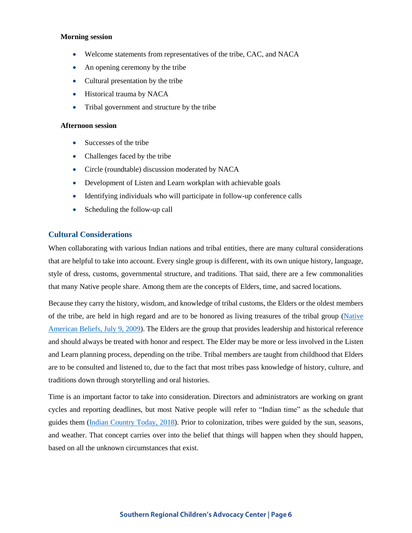#### **Morning session**

- Welcome statements from representatives of the tribe, CAC, and NACA
- An opening ceremony by the tribe
- Cultural presentation by the tribe
- Historical trauma by NACA
- Tribal government and structure by the tribe

#### **Afternoon session**

- Successes of the tribe
- Challenges faced by the tribe
- Circle (roundtable) discussion moderated by NACA
- Development of Listen and Learn workplan with achievable goals
- Identifying individuals who will participate in follow-up conference calls
- Scheduling the follow-up call

#### **Cultural Considerations**

When collaborating with various Indian nations and tribal entities, there are many cultural considerations that are helpful to take into account. Every single group is different, with its own unique history, language, style of dress, customs, governmental structure, and traditions. That said, there are a few commonalities that many Native people share. Among them are the concepts of Elders, time, and sacred locations.

Because they carry the history, wisdom, and knowledge of tribal customs, the Elders or the oldest members of the tribe, are held in high regard and are to be honored as living treasures of the tribal group [\(Native](https://www.indiantime.net/story/2009/07/09/culture/native-american-beliefs/2751.html)  [American Beliefs, July 9, 2009\)](https://www.indiantime.net/story/2009/07/09/culture/native-american-beliefs/2751.html). The Elders are the group that provides leadership and historical reference and should always be treated with honor and respect. The Elder may be more or less involved in the Listen and Learn planning process, depending on the tribe. Tribal members are taught from childhood that Elders are to be consulted and listened to, due to the fact that most tribes pass knowledge of history, culture, and traditions down through storytelling and oral histories.

Time is an important factor to take into consideration. Directors and administrators are working on grant cycles and reporting deadlines, but most Native people will refer to "Indian time" as the schedule that guides them [\(Indian Country Today, 2018\)](https://newsmaven.io/indiancountrytoday/archive/a-look-at-indian-time-L3By8c5BlE2QAyslKlzFFQ/). Prior to colonization, tribes were guided by the sun, seasons, and weather. That concept carries over into the belief that things will happen when they should happen, based on all the unknown circumstances that exist.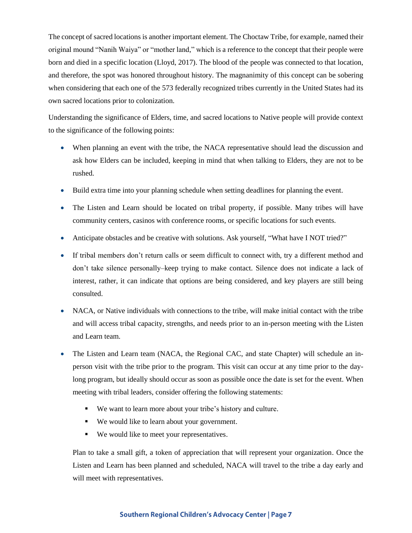The concept of sacred locations is another important element. The Choctaw Tribe, for example, named their original mound "Nanih Waiya" or "mother land," which is a reference to the concept that their people were born and died in a specific location (Lloyd, 2017). The blood of the people was connected to that location, and therefore, the spot was honored throughout history. The magnanimity of this concept can be sobering when considering that each one of the 573 federally recognized tribes currently in the United States had its own sacred locations prior to colonization.

Understanding the significance of Elders, time, and sacred locations to Native people will provide context to the significance of the following points:

- When planning an event with the tribe, the NACA representative should lead the discussion and ask how Elders can be included, keeping in mind that when talking to Elders, they are not to be rushed.
- Build extra time into your planning schedule when setting deadlines for planning the event.
- The Listen and Learn should be located on tribal property, if possible. Many tribes will have community centers, casinos with conference rooms, or specific locations for such events.
- Anticipate obstacles and be creative with solutions. Ask yourself, "What have I NOT tried?"
- If tribal members don't return calls or seem difficult to connect with, try a different method and don't take silence personally–keep trying to make contact. Silence does not indicate a lack of interest, rather, it can indicate that options are being considered, and key players are still being consulted.
- NACA, or Native individuals with connections to the tribe, will make initial contact with the tribe and will access tribal capacity, strengths, and needs prior to an in-person meeting with the Listen and Learn team.
- The Listen and Learn team (NACA, the Regional CAC, and state Chapter) will schedule an inperson visit with the tribe prior to the program. This visit can occur at any time prior to the daylong program, but ideally should occur as soon as possible once the date is set for the event. When meeting with tribal leaders, consider offering the following statements:
	- We want to learn more about your tribe's history and culture.
	- We would like to learn about your government.
	- We would like to meet your representatives.

Plan to take a small gift, a token of appreciation that will represent your organization. Once the Listen and Learn has been planned and scheduled, NACA will travel to the tribe a day early and will meet with representatives.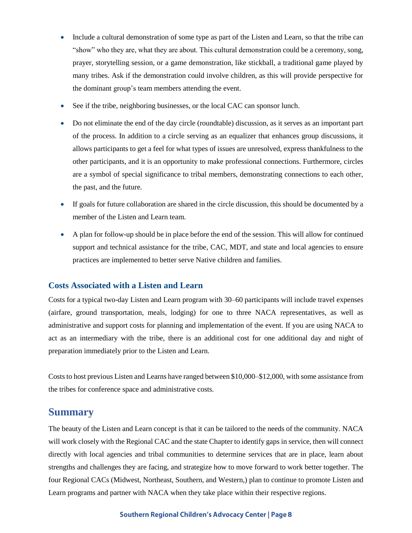- Include a cultural demonstration of some type as part of the Listen and Learn, so that the tribe can "show" who they are, what they are about. This cultural demonstration could be a ceremony, song, prayer, storytelling session, or a game demonstration, like stickball, a traditional game played by many tribes. Ask if the demonstration could involve children, as this will provide perspective for the dominant group's team members attending the event.
- See if the tribe, neighboring businesses, or the local CAC can sponsor lunch.
- Do not eliminate the end of the day circle (roundtable) discussion, as it serves as an important part of the process. In addition to a circle serving as an equalizer that enhances group discussions, it allows participants to get a feel for what types of issues are unresolved, express thankfulness to the other participants, and it is an opportunity to make professional connections. Furthermore, circles are a symbol of special significance to tribal members, demonstrating connections to each other, the past, and the future.
- If goals for future collaboration are shared in the circle discussion, this should be documented by a member of the Listen and Learn team.
- A plan for follow-up should be in place before the end of the session. This will allow for continued support and technical assistance for the tribe, CAC, MDT, and state and local agencies to ensure practices are implemented to better serve Native children and families.

### **Costs Associated with a Listen and Learn**

Costs for a typical two-day Listen and Learn program with 30–60 participants will include travel expenses (airfare, ground transportation, meals, lodging) for one to three NACA representatives, as well as administrative and support costs for planning and implementation of the event. If you are using NACA to act as an intermediary with the tribe, there is an additional cost for one additional day and night of preparation immediately prior to the Listen and Learn.

Costs to host previous Listen and Learns have ranged between \$10,000–\$12,000, with some assistance from the tribes for conference space and administrative costs.

## **Summary**

The beauty of the Listen and Learn concept is that it can be tailored to the needs of the community. NACA will work closely with the Regional CAC and the state Chapter to identify gaps in service, then will connect directly with local agencies and tribal communities to determine services that are in place, learn about strengths and challenges they are facing, and strategize how to move forward to work better together. The four Regional CACs (Midwest, Northeast, Southern, and Western,) plan to continue to promote Listen and Learn programs and partner with NACA when they take place within their respective regions.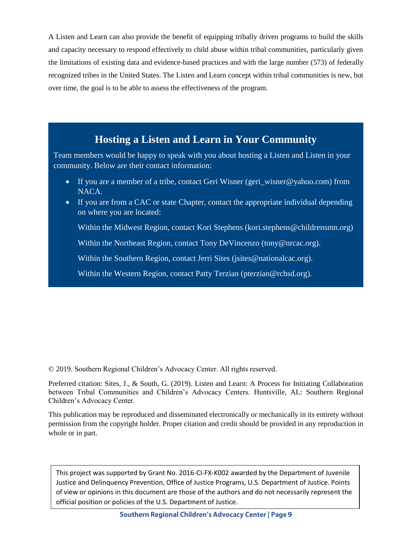A Listen and Learn can also provide the benefit of equipping tribally driven programs to build the skills and capacity necessary to respond effectively to child abuse within tribal communities, particularly given the limitations of existing data and evidence-based practices and with the large number (573) of federally recognized tribes in the United States. The Listen and Learn concept within tribal communities is new, but over time, the goal is to be able to assess the effectiveness of the program.

# **Hosting a Listen and Learn in Your Community**

Team members would be happy to speak with you about hosting a Listen and Listen in your community. Below are their contact information:

- If you are a member of a tribe, contact Geri Wisner (geri\_wisner@yahoo.com) from NACA.
- If you are from a CAC or state Chapter, contact the appropriate individual depending on where you are located:

Within the Midwest Region, contact Kori Stephens (kori.stephens@childrensmn.org)

Within the Northeast Region, contact Tony DeVincenzo (tony@nrcac.org).

Within the Southern Region, contact Jerri Sites (jsites@nationalcac.org).

Within the Western Region, contact Patty Terzian [\(pterzian@rchsd.org\)](mailto:pterzian@rchsd.org).

© 2019. Southern Regional Children's Advocacy Center. All rights reserved.

Preferred citation: Sites, J., & South, G. (2019). Listen and Learn: A Process for Initiating Collaboration between Tribal Communities and Children's Advocacy Centers. Huntsville, AL: Southern Regional Children's Advocacy Center.

This publication may be reproduced and disseminated electronically or mechanically in its entirety without permission from the copyright holder. Proper citation and credit should be provided in any reproduction in whole or in part.

This project was supported by Grant No. 2016-CI-FX-K002 awarded by the Department of Juvenile Justice and Delinquency Prevention, Office of Justice Programs, U.S. Department of Justice. Points of view or opinions in this document are those of the authors and do not necessarily represent the official position or policies of the U.S. Department of Justice.